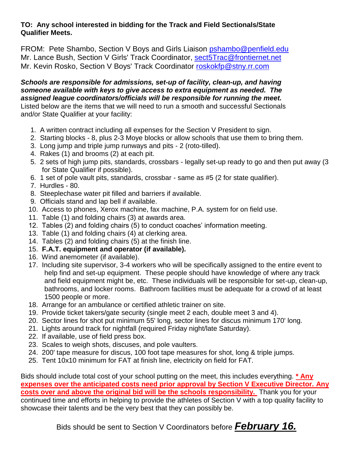## **TO: Any school interested in bidding for the Track and Field Sectionals/State Qualifier Meets.**

FROM: Pete Shambo, Section V Boys and Girls Liaison [pshambo@penfield.edu](mailto:pshambo@penfield.edu) Mr. Lance Bush, Section V Girls' Track Coordinator, [sect5Trac@frontiernet.net](mailto:sect5Trac@frontiernet.net) Mr. Kevin Rosko, Section V Boys' Track Coordinator roskokfp@stny.rr.com

*Schools are responsible for admissions, set-up of facility, clean-up, and having someone available with keys to give access to extra equipment as needed. The assigned league coordinators/officials will be responsible for running the meet.*  Listed below are the items that we will need to run a smooth and successful Sectionals and/or State Qualifier at your facility:

- 1. A written contract including all expenses for the Section V President to sign.
- 2. Starting blocks 8, plus 2-3 Moye blocks or allow schools that use them to bring them.
- 3. Long jump and triple jump runways and pits 2 (roto-tilled).
- 4. Rakes (1) and brooms (2) at each pit.
- 5. 2 sets of high jump pits, standards, crossbars legally set-up ready to go and then put away (3 for State Qualifier if possible).
- 6. 1 set of pole vault pits, standards, crossbar same as #5 (2 for state qualifier).
- 7. Hurdles 80.
- 8. Steeplechase water pit filled and barriers if available.
- 9. Officials stand and lap bell if available.
- 10. Access to phones, Xerox machine, fax machine, P.A. system for on field use.
- 11. Table (1) and folding chairs (3) at awards area.
- 12. Tables (2) and folding chairs (5) to conduct coaches' information meeting.
- 13. Table (1) and folding chairs (4) at clerking area.
- 14. Tables (2) and folding chairs (5) at the finish line.
- 15. **F.A.T. equipment and operator (if available).**
- 16. Wind anemometer (if available).
- 17. Including site supervisor, 3-4 workers who will be specifically assigned to the entire event to help find and set-up equipment. These people should have knowledge of where any track and field equipment might be, etc. These individuals will be responsible for set-up, clean-up, bathrooms, and locker rooms. Bathroom facilities must be adequate for a crowd of at least 1500 people or more.
- 18. Arrange for an ambulance or certified athletic trainer on site.
- 19. Provide ticket takers/gate security (single meet 2 each, double meet 3 and 4).
- 20. Sector lines for shot put minimum 55' long, sector lines for discus minimum 170' long.
- 21. Lights around track for nightfall (required Friday night/late Saturday).
- 22. If available, use of field press box.
- 23. Scales to weigh shots, discuses, and pole vaulters.
- 24. 200' tape measure for discus, 100 foot tape measures for shot, long & triple jumps.
- 25. Tent 10x10 minimum for FAT at finish line, electricity on field for FAT.

Bids should include total cost of your school putting on the meet, this includes everything. **\* Any expenses over the anticipated costs need prior approval by Section V Executive Director. Any costs over and above the original bid will be the schools responsibility.** Thank you for your continued time and efforts in helping to provide the athletes of Section V with a top quality facility to showcase their talents and be the very best that they can possibly be.

Bids should be sent to Section V Coordinators before *February 16.*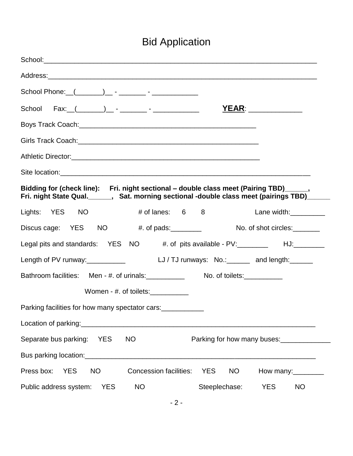## Bid Application

| School Phone: (_______)_ - _______ - ______________                                                                                                                                    |                                                    |
|----------------------------------------------------------------------------------------------------------------------------------------------------------------------------------------|----------------------------------------------------|
|                                                                                                                                                                                        | <u>YEAR: _____________</u>                         |
|                                                                                                                                                                                        |                                                    |
|                                                                                                                                                                                        |                                                    |
| Athletic Director: <u>Contractor Contractor</u>                                                                                                                                        |                                                    |
|                                                                                                                                                                                        |                                                    |
| Bidding for (check line): Fri. night sectional - double class meet (Pairing TBD)_____,<br>Fri. night State Qual.______, Sat. morning sectional -double class meet (pairings TBD)______ |                                                    |
| Lights: YES NO<br>$#$ of lanes: $6$ 8                                                                                                                                                  | Lane width:__________                              |
| Discus cage: YES NO #. of pads: ________                                                                                                                                               | No. of shot circles:                               |
| Legal pits and standards: YES NO #. of pits available - PV: ________ HJ:________                                                                                                       |                                                    |
| Length of PV runway:____________                                                                                                                                                       | LJ/TJ runways: No.: ______ and length: _____       |
| Bathroom facilities: Men - #. of urinals:                                                                                                                                              | No. of toilets:___________                         |
| Women - #. of toilets: $\frac{1}{2}$                                                                                                                                                   |                                                    |
| Parking facilities for how many spectator cars:                                                                                                                                        |                                                    |
|                                                                                                                                                                                        |                                                    |
| Separate bus parking:<br><b>YES</b><br><b>NO</b>                                                                                                                                       | Parking for how many buses:                        |
|                                                                                                                                                                                        |                                                    |
| Press box:<br>Concession facilities:<br><b>YES</b><br><b>NO</b>                                                                                                                        | <b>YES</b><br><b>NO</b><br>How many: $\sqrt{2\pi}$ |
| Public address system:<br><b>YES</b><br>NO                                                                                                                                             | Steeplechase:<br><b>YES</b><br>NO                  |